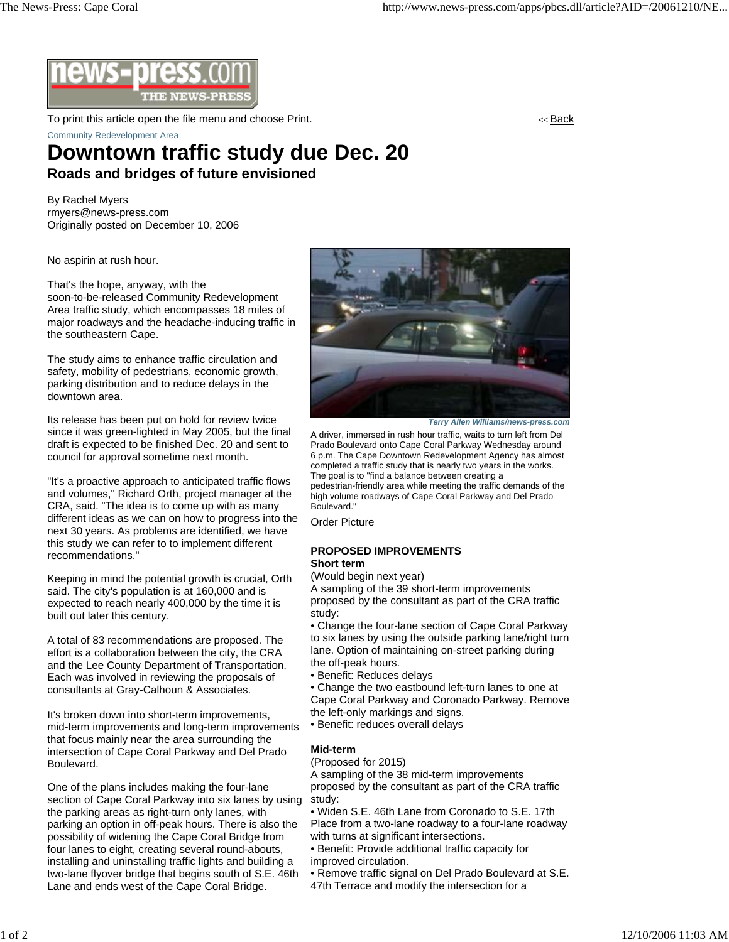

To print this article open the file menu and choose Print. << Back Community Redevelopment Area

# **Downtown traffic study due Dec. 20 Roads and bridges of future envisioned**

By Rachel Myers rmyers@news-press.com Originally posted on December 10, 2006

No aspirin at rush hour.

That's the hope, anyway, with the soon-to-be-released Community Redevelopment Area traffic study, which encompasses 18 miles of major roadways and the headache-inducing traffic in the southeastern Cape.

The study aims to enhance traffic circulation and safety, mobility of pedestrians, economic growth, parking distribution and to reduce delays in the downtown area.

Its release has been put on hold for review twice since it was green-lighted in May 2005, but the final draft is expected to be finished Dec. 20 and sent to council for approval sometime next month.

"It's a proactive approach to anticipated traffic flows and volumes," Richard Orth, project manager at the CRA, said. "The idea is to come up with as many different ideas as we can on how to progress into the next 30 years. As problems are identified, we have this study we can refer to to implement different recommendations."

Keeping in mind the potential growth is crucial, Orth said. The city's population is at 160,000 and is expected to reach nearly 400,000 by the time it is built out later this century.

A total of 83 recommendations are proposed. The effort is a collaboration between the city, the CRA and the Lee County Department of Transportation. Each was involved in reviewing the proposals of consultants at Gray-Calhoun & Associates.

It's broken down into short-term improvements, mid-term improvements and long-term improvements that focus mainly near the area surrounding the intersection of Cape Coral Parkway and Del Prado Boulevard.

One of the plans includes making the four-lane section of Cape Coral Parkway into six lanes by using the parking areas as right-turn only lanes, with parking an option in off-peak hours. There is also the possibility of widening the Cape Coral Bridge from four lanes to eight, creating several round-abouts, installing and uninstalling traffic lights and building a two-lane flyover bridge that begins south of S.E. 46th Lane and ends west of the Cape Coral Bridge.



*Terry Allen Williams/news-press.com*

A driver, immersed in rush hour traffic, waits to turn left from Del Prado Boulevard onto Cape Coral Parkway Wednesday around 6 p.m. The Cape Downtown Redevelopment Agency has almost completed a traffic study that is nearly two years in the works. The goal is to "find a balance between creating a pedestrian-friendly area while meeting the traffic demands of the high volume roadways of Cape Coral Parkway and Del Prado Boulevard."

Order Picture

### **PROPOSED IMPROVEMENTS Short term**

(Would begin next year)

A sampling of the 39 short-term improvements proposed by the consultant as part of the CRA traffic study:

• Change the four-lane section of Cape Coral Parkway to six lanes by using the outside parking lane/right turn lane. Option of maintaining on-street parking during the off-peak hours.

• Benefit: Reduces delays

• Change the two eastbound left-turn lanes to one at Cape Coral Parkway and Coronado Parkway. Remove the left-only markings and signs.

• Benefit: reduces overall delays

## **Mid-term**

(Proposed for 2015)

A sampling of the 38 mid-term improvements proposed by the consultant as part of the CRA traffic study:

- Widen S.E. 46th Lane from Coronado to S.E. 17th Place from a two-lane roadway to a four-lane roadway with turns at significant intersections.
- Benefit: Provide additional traffic capacity for improved circulation.
- Remove traffic signal on Del Prado Boulevard at S.E.
- 47th Terrace and modify the intersection for a